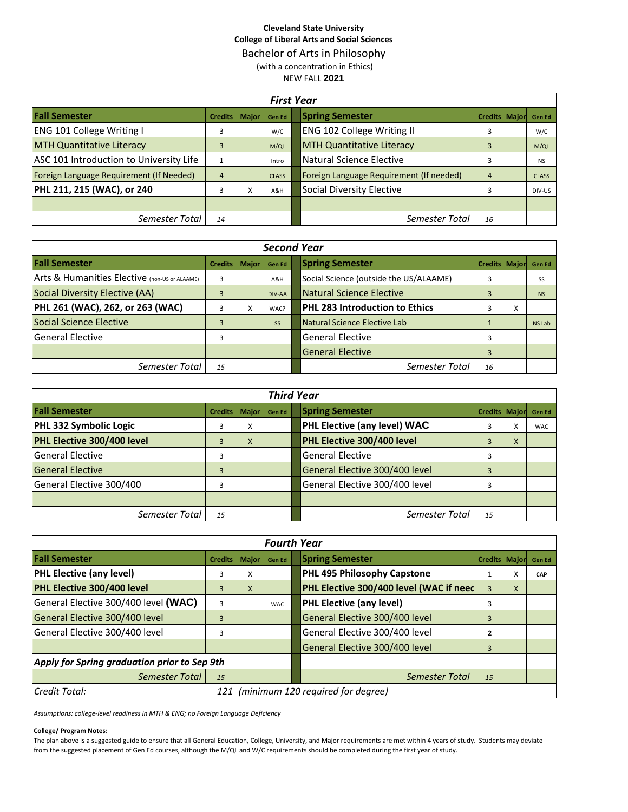## **Cleveland State University College of Liberal Arts and Social Sciences** Bachelor of Arts in Philosophy (with a concentration in Ethics) NEW FALL **2021**

|                                          | <b>First Year</b>      |   |              |                                               |              |  |  |  |  |  |  |  |  |  |
|------------------------------------------|------------------------|---|--------------|-----------------------------------------------|--------------|--|--|--|--|--|--|--|--|--|
| <b>Fall Semester</b>                     | <b>Credits   Maior</b> |   | Gen Ed       | <b>Spring Semester</b><br>Credits Major       | Gen Ed       |  |  |  |  |  |  |  |  |  |
| <b>ENG 101 College Writing I</b>         | 3                      |   | W/C          | ENG 102 College Writing II<br>3               | W/C          |  |  |  |  |  |  |  |  |  |
| <b>MTH Quantitative Literacy</b>         | 3                      |   | M/QL         | <b>MTH Quantitative Literacy</b><br>3         | M/QL         |  |  |  |  |  |  |  |  |  |
| ASC 101 Introduction to University Life  |                        |   | Intro        | Natural Science Elective<br>3                 | <b>NS</b>    |  |  |  |  |  |  |  |  |  |
| Foreign Language Requirement (If Needed) | $\overline{4}$         |   | <b>CLASS</b> | Foreign Language Requirement (If needed)<br>4 | <b>CLASS</b> |  |  |  |  |  |  |  |  |  |
| PHL 211, 215 (WAC), or 240               | 3                      | x | A&H          | Social Diversity Elective<br>3                | DIV-US       |  |  |  |  |  |  |  |  |  |
|                                          |                        |   |              |                                               |              |  |  |  |  |  |  |  |  |  |
| Semester Total                           | 14                     |   |              | Semester Total<br>16                          |              |  |  |  |  |  |  |  |  |  |

|                                               | <b>Second Year</b> |       |               |                                                   |               |  |  |  |  |  |  |  |  |  |
|-----------------------------------------------|--------------------|-------|---------------|---------------------------------------------------|---------------|--|--|--|--|--|--|--|--|--|
| <b>Fall Semester</b>                          | <b>Credits</b>     | Major | <b>Gen Ed</b> | <b>Spring Semester</b><br>Credits Major           | <b>Gen Ed</b> |  |  |  |  |  |  |  |  |  |
| Arts & Humanities Elective (non-US or ALAAME) | 3                  |       | A&H           | Social Science (outside the US/ALAAME)<br>3       | SS            |  |  |  |  |  |  |  |  |  |
| Social Diversity Elective (AA)                | 3                  |       | DIV-AA        | <b>Natural Science Elective</b><br>$\overline{3}$ | <b>NS</b>     |  |  |  |  |  |  |  |  |  |
| PHL 261 (WAC), 262, or 263 (WAC)              | 3                  | x     | WAC?          | <b>PHL 283 Introduction to Ethics</b><br>З        | x             |  |  |  |  |  |  |  |  |  |
| <b>Social Science Elective</b>                | 3                  |       | <b>SS</b>     | Natural Science Elective Lab                      | NS Lab        |  |  |  |  |  |  |  |  |  |
| lGeneral Elective                             | 3                  |       |               | <b>General Elective</b><br>3                      |               |  |  |  |  |  |  |  |  |  |
|                                               |                    |       |               | <b>General Elective</b><br>3                      |               |  |  |  |  |  |  |  |  |  |
| Semester Total                                | 15                 |       |               | Semester Total<br>16                              |               |  |  |  |  |  |  |  |  |  |

|                            | <b>Third Year</b> |                   |               |  |                                     |                      |   |               |  |  |  |  |  |  |
|----------------------------|-------------------|-------------------|---------------|--|-------------------------------------|----------------------|---|---------------|--|--|--|--|--|--|
| <b>Fall Semester</b>       | <b>Credits</b>    | <b>Major</b>      | <b>Gen Ed</b> |  | <b>Spring Semester</b>              | <b>Credits Major</b> |   | <b>Gen Ed</b> |  |  |  |  |  |  |
| PHL 332 Symbolic Logic     | 3                 | $\checkmark$<br>v |               |  | <b>PHL Elective (any level) WAC</b> |                      |   | <b>WAC</b>    |  |  |  |  |  |  |
| PHL Elective 300/400 level | 3                 | X                 |               |  | PHL Elective 300/400 level          | 3                    | X |               |  |  |  |  |  |  |
| lGeneral Elective          | 3                 |                   |               |  | <b>General Elective</b>             |                      |   |               |  |  |  |  |  |  |
| <b>General Elective</b>    | 3                 |                   |               |  | General Elective 300/400 level      | 3                    |   |               |  |  |  |  |  |  |
| General Elective 300/400   | 3                 |                   |               |  | General Elective 300/400 level      |                      |   |               |  |  |  |  |  |  |
|                            |                   |                   |               |  |                                     |                      |   |               |  |  |  |  |  |  |
| Semester Total             | 15                |                   |               |  | Semester Total                      | 15                   |   |               |  |  |  |  |  |  |

|                                              |                                       |              | <b>Fourth Year</b> |  |                                         |                       |   |               |  |  |  |
|----------------------------------------------|---------------------------------------|--------------|--------------------|--|-----------------------------------------|-----------------------|---|---------------|--|--|--|
| <b>Fall Semester</b>                         | <b>Credits</b>                        | <b>Major</b> | <b>Gen Ed</b>      |  | <b>Spring Semester</b>                  | <b>Credits Majorl</b> |   | <b>Gen Ed</b> |  |  |  |
| <b>PHL Elective (any level)</b>              | 3                                     | x            |                    |  | PHL 495 Philosophy Capstone             |                       |   | CAP           |  |  |  |
| PHL Elective 300/400 level                   | 3                                     | X            |                    |  | PHL Elective 300/400 level (WAC if need | $\overline{3}$        | X |               |  |  |  |
| General Elective 300/400 level (WAC)         | 3                                     |              | <b>WAC</b>         |  | <b>PHL Elective (any level)</b>         | 3                     |   |               |  |  |  |
| General Elective 300/400 level               | 3                                     |              |                    |  | General Elective 300/400 level          | $\overline{3}$        |   |               |  |  |  |
| General Elective 300/400 level               | 3                                     |              |                    |  | General Elective 300/400 level          | $\overline{2}$        |   |               |  |  |  |
|                                              |                                       |              |                    |  | General Elective 300/400 level          | $\overline{3}$        |   |               |  |  |  |
| Apply for Spring graduation prior to Sep 9th |                                       |              |                    |  |                                         |                       |   |               |  |  |  |
| Semester Total                               | 15                                    |              |                    |  | Semester Total                          | 15                    |   |               |  |  |  |
| Credit Total:                                | 121 (minimum 120 required for degree) |              |                    |  |                                         |                       |   |               |  |  |  |

*Assumptions: college-level readiness in MTH & ENG; no Foreign Language Deficiency*

#### **College/ Program Notes:**

The plan above is a suggested guide to ensure that all General Education, College, University, and Major requirements are met within 4 years of study. Students may deviate from the suggested placement of Gen Ed courses, although the M/QL and W/C requirements should be completed during the first year of study.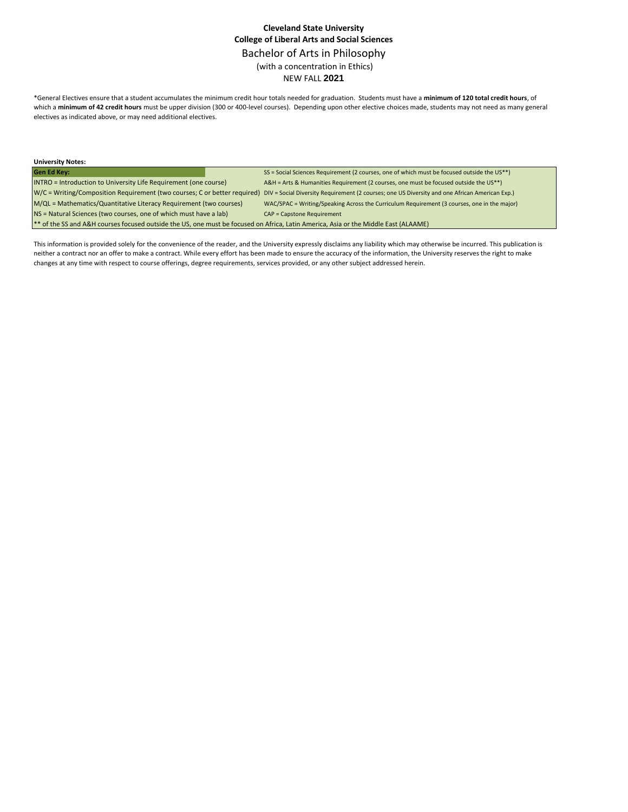# **Cleveland State University College of Liberal Arts and Social Sciences** Bachelor of Arts in Philosophy (with a concentration in Ethics) NEW FALL **2021**

\*General Electives ensure that a student accumulates the minimum credit hour totals needed for graduation. Students must have a **minimum of 120 total credit hours**, of which a **minimum of 42 credit hours** must be upper division (300 or 400-level courses). Depending upon other elective choices made, students may not need as many general electives as indicated above, or may need additional electives.

| <b>University Notes:</b>                                                                                                            |                                                                                                                                                                          |  |  |  |  |  |  |
|-------------------------------------------------------------------------------------------------------------------------------------|--------------------------------------------------------------------------------------------------------------------------------------------------------------------------|--|--|--|--|--|--|
| <b>Gen Ed Key:</b>                                                                                                                  | SS = Social Sciences Requirement (2 courses, one of which must be focused outside the US**)                                                                              |  |  |  |  |  |  |
| <b>INTRO</b> = Introduction to University Life Requirement (one course)                                                             | A&H = Arts & Humanities Requirement (2 courses, one must be focused outside the US**)                                                                                    |  |  |  |  |  |  |
|                                                                                                                                     | W/C = Writing/Composition Requirement (two courses; C or better required) DIV = Social Diversity Requirement (2 courses; one US Diversity and one African American Exp.) |  |  |  |  |  |  |
| M/QL = Mathematics/Quantitative Literacy Requirement (two courses)                                                                  | WAC/SPAC = Writing/Speaking Across the Curriculum Requirement (3 courses, one in the major)                                                                              |  |  |  |  |  |  |
| NS = Natural Sciences (two courses, one of which must have a lab)                                                                   | <b>CAP = Capstone Requirement</b>                                                                                                                                        |  |  |  |  |  |  |
| ** of the SS and A&H courses focused outside the US, one must be focused on Africa, Latin America, Asia or the Middle East (ALAAME) |                                                                                                                                                                          |  |  |  |  |  |  |

This information is provided solely for the convenience of the reader, and the University expressly disclaims any liability which may otherwise be incurred. This publication is neither a contract nor an offer to make a contract. While every effort has been made to ensure the accuracy of the information, the University reserves the right to make changes at any time with respect to course offerings, degree requirements, services provided, or any other subject addressed herein.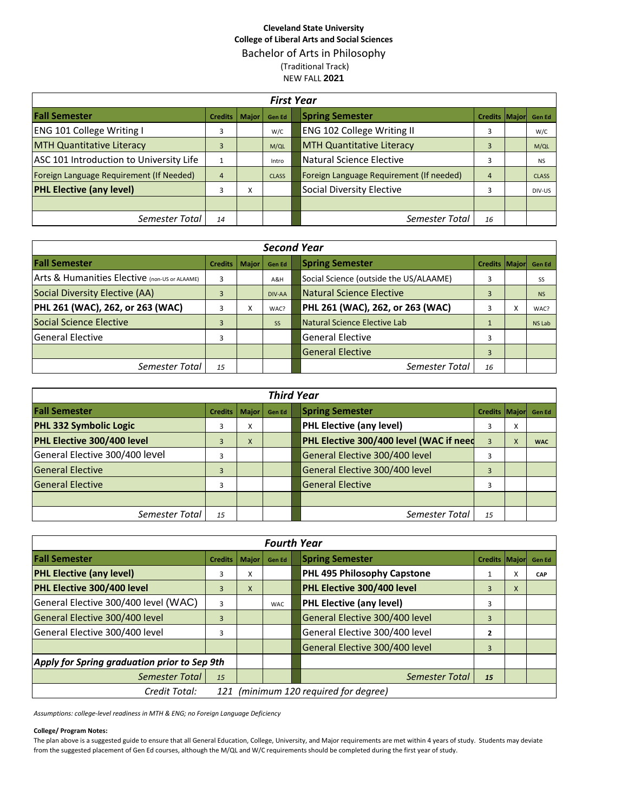# **Cleveland State University College of Liberal Arts and Social Sciences** Bachelor of Arts in Philosophy (Traditional Track) NEW FALL **2021**

|                                          | <b>First Year</b>      |   |               |  |                                          |                      |  |              |  |  |  |  |  |  |
|------------------------------------------|------------------------|---|---------------|--|------------------------------------------|----------------------|--|--------------|--|--|--|--|--|--|
| <b>Fall Semester</b>                     | <b>Credits   Major</b> |   | <b>Gen Ed</b> |  | <b>Spring Semester</b>                   | Credits Major Gen Ed |  |              |  |  |  |  |  |  |
| <b>ENG 101 College Writing I</b>         | 3                      |   | W/C           |  | <b>ENG 102 College Writing II</b>        | 3                    |  | W/C          |  |  |  |  |  |  |
| <b>MTH Quantitative Literacy</b>         | 3                      |   | M/QL          |  | <b>MTH Quantitative Literacy</b>         | $\overline{3}$       |  | M/QL         |  |  |  |  |  |  |
| ASC 101 Introduction to University Life  |                        |   | Intro         |  | Natural Science Elective                 | 3                    |  | <b>NS</b>    |  |  |  |  |  |  |
| Foreign Language Requirement (If Needed) | $\overline{4}$         |   | <b>CLASS</b>  |  | Foreign Language Requirement (If needed) | $\overline{4}$       |  | <b>CLASS</b> |  |  |  |  |  |  |
| <b>PHL Elective (any level)</b>          | 3                      | x |               |  | Social Diversity Elective                | 3                    |  | DIV-US       |  |  |  |  |  |  |
|                                          |                        |   |               |  |                                          |                      |  |              |  |  |  |  |  |  |
| Semester Total                           | 14                     |   |               |  | Semester Total                           | 16                   |  |              |  |  |  |  |  |  |

|                                               | <b>Second Year</b>     |   |               |  |                                        |                      |           |               |  |  |  |  |  |  |
|-----------------------------------------------|------------------------|---|---------------|--|----------------------------------------|----------------------|-----------|---------------|--|--|--|--|--|--|
| <b>Fall Semester</b>                          | <b>Credits   Major</b> |   | <b>Gen Ed</b> |  | <b>Spring Semester</b>                 | <b>Credits Major</b> |           | <b>Gen Ed</b> |  |  |  |  |  |  |
| Arts & Humanities Elective (non-US or ALAAME) | 3                      |   | A&H           |  | Social Science (outside the US/ALAAME) | 3                    |           | SS            |  |  |  |  |  |  |
| Social Diversity Elective (AA)                | 3                      |   | DIV-AA        |  | <b>Natural Science Elective</b>        | $\overline{3}$       |           | <b>NS</b>     |  |  |  |  |  |  |
| PHL 261 (WAC), 262, or 263 (WAC)              | 3                      | x | WAC?          |  | PHL 261 (WAC), 262, or 263 (WAC)       |                      | $\lambda$ | WAC?          |  |  |  |  |  |  |
| Social Science Elective                       | 3                      |   | <b>SS</b>     |  | Natural Science Elective Lab           |                      |           | NS Lab        |  |  |  |  |  |  |
| lGeneral Elective                             | 3                      |   |               |  | <b>General Elective</b>                | 3                    |           |               |  |  |  |  |  |  |
|                                               |                        |   |               |  | <b>General Elective</b>                | $\overline{3}$       |           |               |  |  |  |  |  |  |
| Semester Total                                | 15                     |   |               |  | Semester Total                         | 16                   |           |               |  |  |  |  |  |  |

| <b>Third Year</b>              |                |              |               |  |                                         |                      |   |            |  |  |  |  |  |
|--------------------------------|----------------|--------------|---------------|--|-----------------------------------------|----------------------|---|------------|--|--|--|--|--|
| <b>Fall Semester</b>           | <b>Credits</b> | <b>Major</b> | <b>Gen Ed</b> |  | <b>Spring Semester</b>                  | Credits Major Gen Ed |   |            |  |  |  |  |  |
| <b>PHL 332 Symbolic Logic</b>  | 3              | X            |               |  | <b>PHL Elective (any level)</b>         |                      | x |            |  |  |  |  |  |
| PHL Elective 300/400 level     | 3              | X            |               |  | PHL Elective 300/400 level (WAC if need | 3                    | X | <b>WAC</b> |  |  |  |  |  |
| General Elective 300/400 level | 3              |              |               |  | General Elective 300/400 level          | 3                    |   |            |  |  |  |  |  |
| <b>General Elective</b>        | 3              |              |               |  | General Elective 300/400 level          | 3                    |   |            |  |  |  |  |  |
| <b>General Elective</b>        | 3              |              |               |  | <b>General Elective</b>                 | 3                    |   |            |  |  |  |  |  |
|                                |                |              |               |  |                                         |                      |   |            |  |  |  |  |  |
| Semester Total                 | 15             |              |               |  | Semester Total                          | 15                   |   |            |  |  |  |  |  |

|                                                        |                |              | <b>Fourth Year</b> |  |                                 |                       |   |               |  |  |
|--------------------------------------------------------|----------------|--------------|--------------------|--|---------------------------------|-----------------------|---|---------------|--|--|
| <b>Fall Semester</b>                                   | <b>Credits</b> | <b>Major</b> | <b>Gen Ed</b>      |  | <b>Spring Semester</b>          | <b>Credits Majorl</b> |   | <b>Gen Ed</b> |  |  |
| <b>PHL Elective (any level)</b>                        | 3              | x            |                    |  | PHL 495 Philosophy Capstone     |                       | A | CAP           |  |  |
| <b>PHL Elective 300/400 level</b>                      | 3              | X            |                    |  | PHL Elective 300/400 level      | 3                     | X |               |  |  |
| General Elective 300/400 level (WAC)                   | 3              |              | <b>WAC</b>         |  | <b>PHL Elective (any level)</b> | 3                     |   |               |  |  |
| General Elective 300/400 level                         | 3              |              |                    |  | General Elective 300/400 level  | $\overline{3}$        |   |               |  |  |
| General Elective 300/400 level                         | 3              |              |                    |  | General Elective 300/400 level  | $\overline{2}$        |   |               |  |  |
|                                                        |                |              |                    |  | General Elective 300/400 level  | $\overline{3}$        |   |               |  |  |
| Apply for Spring graduation prior to Sep 9th           |                |              |                    |  |                                 |                       |   |               |  |  |
| Semester Total                                         | 15             |              |                    |  | Semester Total                  | 15                    |   |               |  |  |
| 121 (minimum 120 required for degree)<br>Credit Total: |                |              |                    |  |                                 |                       |   |               |  |  |

*Assumptions: college-level readiness in MTH & ENG; no Foreign Language Deficiency*

### **College/ Program Notes:**

The plan above is a suggested guide to ensure that all General Education, College, University, and Major requirements are met within 4 years of study. Students may deviate from the suggested placement of Gen Ed courses, although the M/QL and W/C requirements should be completed during the first year of study.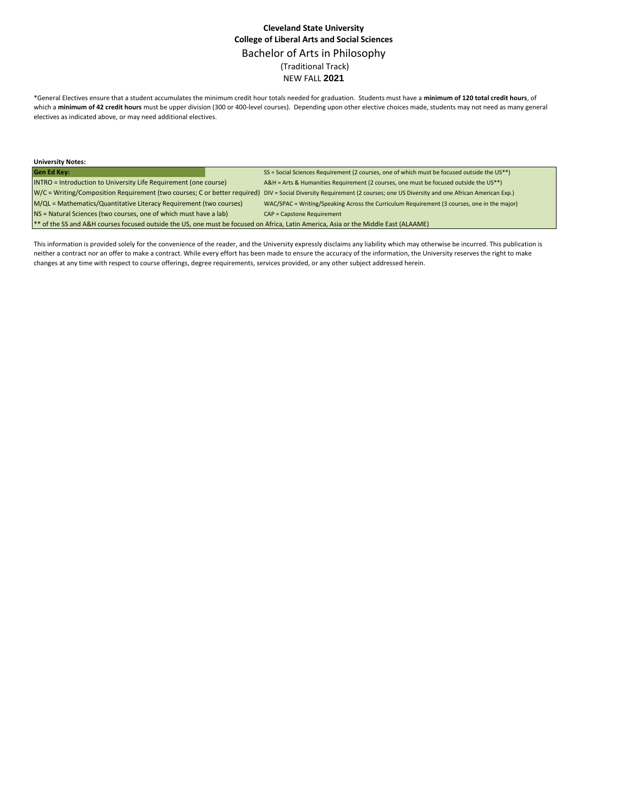### **Cleveland State University College of Liberal Arts and Social Sciences** Bachelor of Arts in Philosophy (Traditional Track) NEW FALL **2021**

\*General Electives ensure that a student accumulates the minimum credit hour totals needed for graduation. Students must have a **minimum of 120 total credit hours**, of which a **minimum of 42 credit hours** must be upper division (300 or 400-level courses). Depending upon other elective choices made, students may not need as many general electives as indicated above, or may need additional electives.

| <b>University Notes:</b>                                                                                                            |  |                                                                                                                                                                          |  |  |  |  |  |
|-------------------------------------------------------------------------------------------------------------------------------------|--|--------------------------------------------------------------------------------------------------------------------------------------------------------------------------|--|--|--|--|--|
| <b>Gen Ed Key:</b>                                                                                                                  |  | SS = Social Sciences Requirement (2 courses, one of which must be focused outside the US**)                                                                              |  |  |  |  |  |
| <b>INTRO</b> = Introduction to University Life Requirement (one course)                                                             |  | A&H = Arts & Humanities Requirement (2 courses, one must be focused outside the US**)                                                                                    |  |  |  |  |  |
|                                                                                                                                     |  | W/C = Writing/Composition Requirement (two courses; C or better required) DIV = Social Diversity Requirement (2 courses; one US Diversity and one African American Exp.) |  |  |  |  |  |
| M/QL = Mathematics/Quantitative Literacy Requirement (two courses)                                                                  |  | WAC/SPAC = Writing/Speaking Across the Curriculum Requirement (3 courses, one in the major)                                                                              |  |  |  |  |  |
| NS = Natural Sciences (two courses, one of which must have a lab)                                                                   |  | <b>CAP = Capstone Requirement</b>                                                                                                                                        |  |  |  |  |  |
| ** of the SS and A&H courses focused outside the US, one must be focused on Africa, Latin America, Asia or the Middle East (ALAAME) |  |                                                                                                                                                                          |  |  |  |  |  |

This information is provided solely for the convenience of the reader, and the University expressly disclaims any liability which may otherwise be incurred. This publication is neither a contract nor an offer to make a contract. While every effort has been made to ensure the accuracy of the information, the University reserves the right to make changes at any time with respect to course offerings, degree requirements, services provided, or any other subject addressed herein.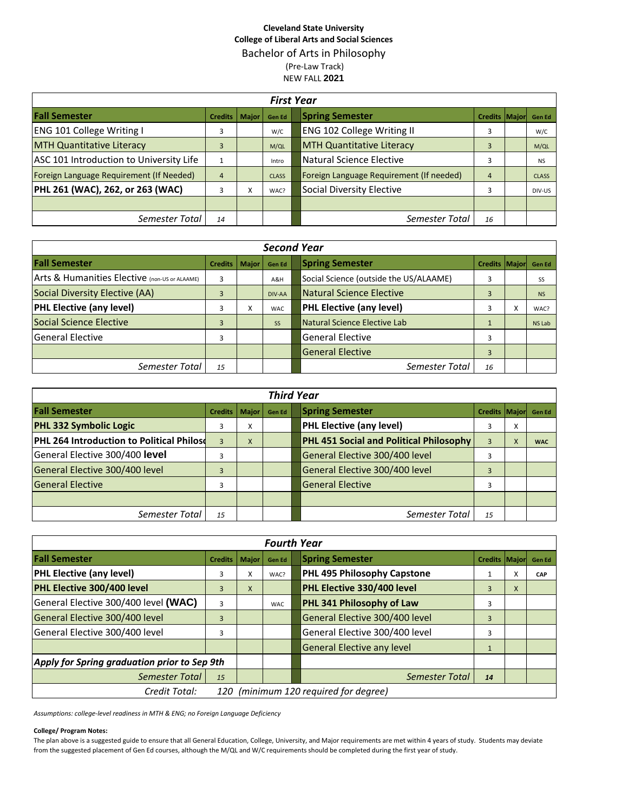# **Cleveland State University College of Liberal Arts and Social Sciences** Bachelor of Arts in Philosophy (Pre-Law Track) NEW FALL **2021**

|                                          | <b>First Year</b> |              |               |  |                                          |                      |  |              |  |  |  |  |  |  |
|------------------------------------------|-------------------|--------------|---------------|--|------------------------------------------|----------------------|--|--------------|--|--|--|--|--|--|
| <b>Fall Semester</b>                     | <b>Credits</b>    | <b>Maior</b> | <b>Gen Ed</b> |  | <b>Spring Semester</b>                   | Credits Major Gen Ed |  |              |  |  |  |  |  |  |
| <b>ENG 101 College Writing I</b>         | 3                 |              | W/C           |  | ENG 102 College Writing II               | 3                    |  | W/C          |  |  |  |  |  |  |
| <b>MTH Quantitative Literacy</b>         | 3                 |              | M/QL          |  | <b>MTH Quantitative Literacy</b>         | 3                    |  | M/QL         |  |  |  |  |  |  |
| ASC 101 Introduction to University Life  |                   |              | Intro         |  | Natural Science Elective                 | 3                    |  | <b>NS</b>    |  |  |  |  |  |  |
| Foreign Language Requirement (If Needed) | $\overline{4}$    |              | <b>CLASS</b>  |  | Foreign Language Requirement (If needed) | 4                    |  | <b>CLASS</b> |  |  |  |  |  |  |
| PHL 261 (WAC), 262, or 263 (WAC)         | 3                 | X            | WAC?          |  | Social Diversity Elective                | 3                    |  | DIV-US       |  |  |  |  |  |  |
|                                          |                   |              |               |  |                                          |                      |  |              |  |  |  |  |  |  |
| Semester Total                           | 14                |              |               |  | Semester Total                           | 16                   |  |              |  |  |  |  |  |  |

|                                               | <b>Second Year</b>     |   |               |  |                                        |                |           |               |  |  |  |  |  |  |
|-----------------------------------------------|------------------------|---|---------------|--|----------------------------------------|----------------|-----------|---------------|--|--|--|--|--|--|
| <b>Fall Semester</b>                          | <b>Credits   Major</b> |   | <b>Gen Ed</b> |  | <b>Spring Semester</b>                 | Credits Major  |           | <b>Gen Ed</b> |  |  |  |  |  |  |
| Arts & Humanities Elective (non-US or ALAAME) | 3                      |   | A&H           |  | Social Science (outside the US/ALAAME) | 3              |           | SS            |  |  |  |  |  |  |
| Social Diversity Elective (AA)                | 3                      |   | DIV-AA        |  | <b>Natural Science Elective</b>        | $\overline{3}$ |           | <b>NS</b>     |  |  |  |  |  |  |
| <b>PHL Elective (any level)</b>               | 3                      | x | WAC.          |  | <b>PHL Elective (any level)</b>        | 3              | $\lambda$ | WAC?          |  |  |  |  |  |  |
| Social Science Elective                       | 3                      |   | <b>SS</b>     |  | Natural Science Elective Lab           |                |           | NS Lab        |  |  |  |  |  |  |
| lGeneral Elective                             | 3                      |   |               |  | <b>General Elective</b>                | 3              |           |               |  |  |  |  |  |  |
|                                               |                        |   |               |  | <b>General Elective</b>                | 3              |           |               |  |  |  |  |  |  |
| Semester Total                                | 15                     |   |               |  | Semester Total                         | 16             |           |               |  |  |  |  |  |  |

| <b>Third Year</b>                                |                |              |               |  |                                         |                      |   |            |
|--------------------------------------------------|----------------|--------------|---------------|--|-----------------------------------------|----------------------|---|------------|
| <b>Fall Semester</b>                             | <b>Credits</b> | <b>Maior</b> | <b>Gen Ed</b> |  | <b>Spring Semester</b>                  | Credits Major Gen Ed |   |            |
| <b>PHL 332 Symbolic Logic</b>                    | 3              | X            |               |  | <b>PHL Elective (any level)</b>         |                      | ^ |            |
| <b>PHL 264 Introduction to Political Philoso</b> | 3              | X            |               |  | PHL 451 Social and Political Philosophy | 3                    |   | <b>WAC</b> |
| General Elective 300/400 level                   | 3              |              |               |  | General Elective 300/400 level          |                      |   |            |
| General Elective 300/400 level                   | 3              |              |               |  | General Elective 300/400 level          | 3                    |   |            |
| <b>General Elective</b>                          | 3              |              |               |  | <b>General Elective</b>                 |                      |   |            |
|                                                  |                |              |               |  |                                         |                      |   |            |
| Semester Total                                   | 15             |              |               |  | Semester Total                          | 15                   |   |            |

| <b>Fourth Year</b>                                     |                |              |            |  |                                   |                       |   |               |
|--------------------------------------------------------|----------------|--------------|------------|--|-----------------------------------|-----------------------|---|---------------|
| <b>Fall Semester</b>                                   | <b>Credits</b> | <b>Major</b> | Gen Ed     |  | <b>Spring Semester</b>            | <b>Credits Majorl</b> |   | <b>Gen Ed</b> |
| <b>PHL Elective (any level)</b>                        | 3              | X            | WAC?       |  | PHL 495 Philosophy Capstone       |                       | A | CAP           |
| PHL Elective 300/400 level                             | 3              | X            |            |  | PHL Elective 330/400 level        | 3                     | X |               |
| General Elective 300/400 level (WAC)                   | 3              |              | <b>WAC</b> |  | PHL 341 Philosophy of Law         | 3                     |   |               |
| General Elective 300/400 level                         | 3              |              |            |  | General Elective 300/400 level    | $\overline{3}$        |   |               |
| General Elective 300/400 level                         | 3              |              |            |  | General Elective 300/400 level    | 3                     |   |               |
|                                                        |                |              |            |  | <b>General Elective any level</b> |                       |   |               |
| Apply for Spring graduation prior to Sep 9th           |                |              |            |  |                                   |                       |   |               |
| Semester Total                                         | 15             |              |            |  | Semester Total                    | 14                    |   |               |
| 120 (minimum 120 required for degree)<br>Credit Total: |                |              |            |  |                                   |                       |   |               |

*Assumptions: college-level readiness in MTH & ENG; no Foreign Language Deficiency*

### **College/ Program Notes:**

The plan above is a suggested guide to ensure that all General Education, College, University, and Major requirements are met within 4 years of study. Students may deviate from the suggested placement of Gen Ed courses, although the M/QL and W/C requirements should be completed during the first year of study.